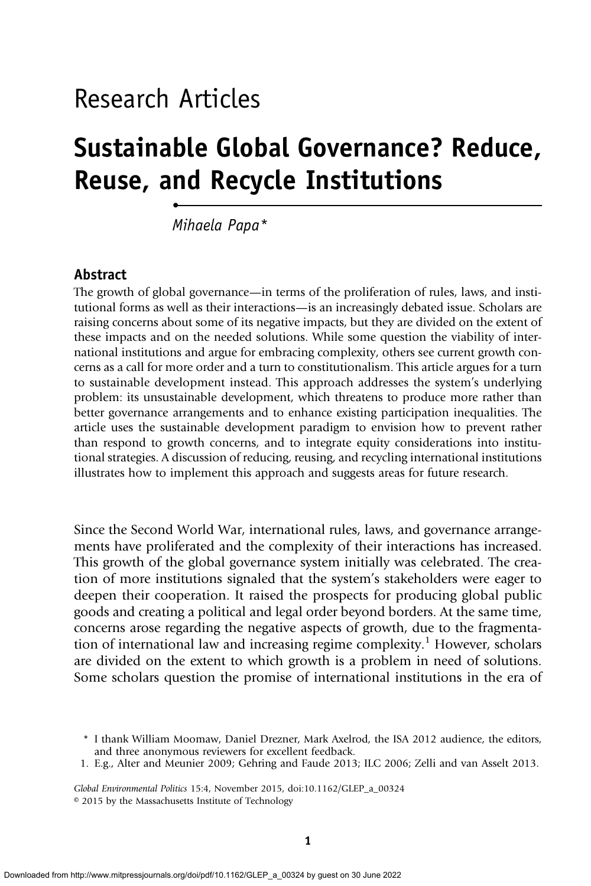# Research Articles

•

# Sustainable Global Governance? Reduce, Reuse, and Recycle Institutions

Mihaela Papa\*

## Abstract

The growth of global governance—in terms of the proliferation of rules, laws, and institutional forms as well as their interactions—is an increasingly debated issue. Scholars are raising concerns about some of its negative impacts, but they are divided on the extent of these impacts and on the needed solutions. While some question the viability of international institutions and argue for embracing complexity, others see current growth concerns as a call for more order and a turn to constitutionalism. This article argues for a turn to sustainable development instead. This approach addresses the system's underlying problem: its unsustainable development, which threatens to produce more rather than better governance arrangements and to enhance existing participation inequalities. The article uses the sustainable development paradigm to envision how to prevent rather than respond to growth concerns, and to integrate equity considerations into institutional strategies. A discussion of reducing, reusing, and recycling international institutions illustrates how to implement this approach and suggests areas for future research.

Since the Second World War, international rules, laws, and governance arrangements have proliferated and the complexity of their interactions has increased. This growth of the global governance system initially was celebrated. The creation of more institutions signaled that the system's stakeholders were eager to deepen their cooperation. It raised the prospects for producing global public goods and creating a political and legal order beyond borders. At the same time, concerns arose regarding the negative aspects of growth, due to the fragmentation of international law and increasing regime complexity.<sup>1</sup> However, scholars are divided on the extent to which growth is a problem in need of solutions. Some scholars question the promise of international institutions in the era of

\* I thank William Moomaw, Daniel Drezner, Mark Axelrod, the ISA 2012 audience, the editors, and three anonymous reviewers for excellent feedback.

1. E.g., Alter and Meunier 2009; Gehring and Faude 2013; ILC 2006; Zelli and van Asselt 2013.

Global Environmental Politics 15:4, November 2015, doi:10.1162/GLEP\_a\_00324 © 2015 by the Massachusetts Institute of Technology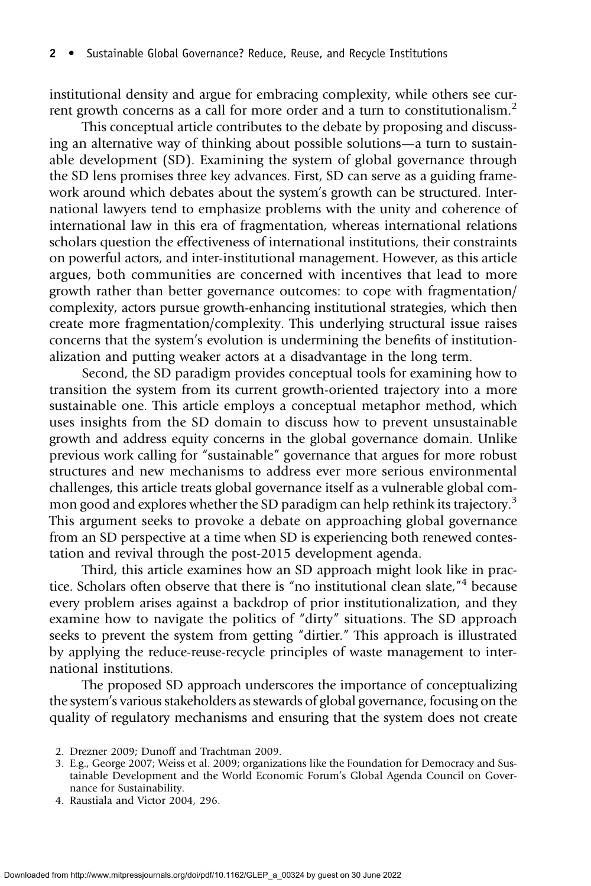institutional density and argue for embracing complexity, while others see current growth concerns as a call for more order and a turn to constitutionalism.<sup>2</sup>

This conceptual article contributes to the debate by proposing and discussing an alternative way of thinking about possible solutions—a turn to sustainable development (SD). Examining the system of global governance through the SD lens promises three key advances. First, SD can serve as a guiding framework around which debates about the system's growth can be structured. International lawyers tend to emphasize problems with the unity and coherence of international law in this era of fragmentation, whereas international relations scholars question the effectiveness of international institutions, their constraints on powerful actors, and inter-institutional management. However, as this article argues, both communities are concerned with incentives that lead to more growth rather than better governance outcomes: to cope with fragmentation/ complexity, actors pursue growth-enhancing institutional strategies, which then create more fragmentation/complexity. This underlying structural issue raises concerns that the system's evolution is undermining the benefits of institutionalization and putting weaker actors at a disadvantage in the long term.

Second, the SD paradigm provides conceptual tools for examining how to transition the system from its current growth-oriented trajectory into a more sustainable one. This article employs a conceptual metaphor method, which uses insights from the SD domain to discuss how to prevent unsustainable growth and address equity concerns in the global governance domain. Unlike previous work calling for "sustainable" governance that argues for more robust structures and new mechanisms to address ever more serious environmental challenges, this article treats global governance itself as a vulnerable global common good and explores whether the SD paradigm can help rethink its trajectory.<sup>3</sup> This argument seeks to provoke a debate on approaching global governance from an SD perspective at a time when SD is experiencing both renewed contestation and revival through the post-2015 development agenda.

Third, this article examines how an SD approach might look like in practice. Scholars often observe that there is "no institutional clean slate," <sup>4</sup> because every problem arises against a backdrop of prior institutionalization, and they examine how to navigate the politics of "dirty" situations. The SD approach seeks to prevent the system from getting "dirtier." This approach is illustrated by applying the reduce-reuse-recycle principles of waste management to international institutions.

The proposed SD approach underscores the importance of conceptualizing the system's various stakeholders as stewards of global governance, focusing on the quality of regulatory mechanisms and ensuring that the system does not create

4. Raustiala and Victor 2004, 296.

<sup>2.</sup> Drezner 2009; Dunoff and Trachtman 2009.

<sup>3.</sup> E.g., George 2007; Weiss et al. 2009; organizations like the Foundation for Democracy and Sustainable Development and the World Economic Forum's Global Agenda Council on Governance for Sustainability.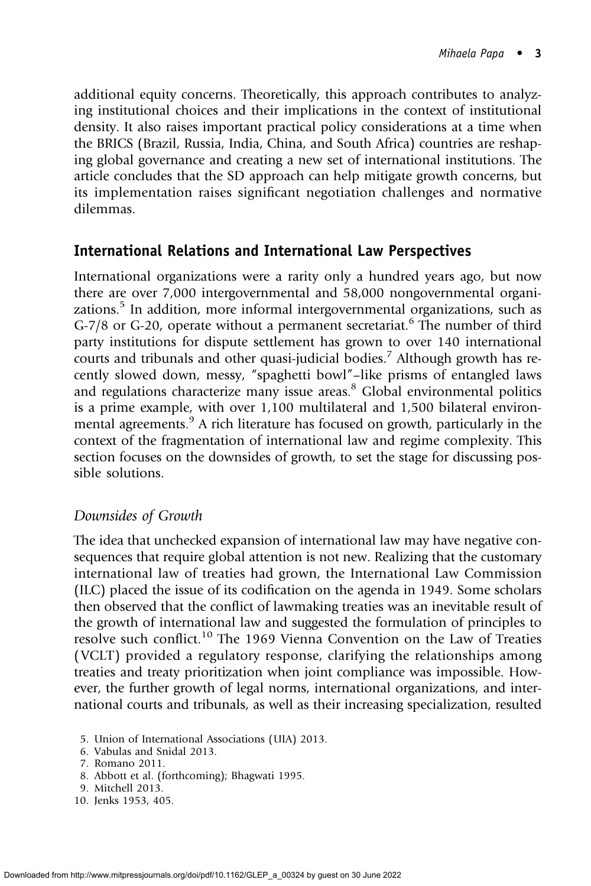additional equity concerns. Theoretically, this approach contributes to analyzing institutional choices and their implications in the context of institutional density. It also raises important practical policy considerations at a time when the BRICS (Brazil, Russia, India, China, and South Africa) countries are reshaping global governance and creating a new set of international institutions. The article concludes that the SD approach can help mitigate growth concerns, but its implementation raises significant negotiation challenges and normative dilemmas.

# International Relations and International Law Perspectives

International organizations were a rarity only a hundred years ago, but now there are over 7,000 intergovernmental and 58,000 nongovernmental organizations.<sup>5</sup> In addition, more informal intergovernmental organizations, such as G-7/8 or G-20, operate without a permanent secretariat.<sup>6</sup> The number of third party institutions for dispute settlement has grown to over 140 international courts and tribunals and other quasi-judicial bodies.<sup>7</sup> Although growth has recently slowed down, messy, "spaghetti bowl"–like prisms of entangled laws and regulations characterize many issue areas. $8$  Global environmental politics is a prime example, with over 1,100 multilateral and 1,500 bilateral environmental agreements.<sup>9</sup> A rich literature has focused on growth, particularly in the context of the fragmentation of international law and regime complexity. This section focuses on the downsides of growth, to set the stage for discussing possible solutions.

## Downsides of Growth

The idea that unchecked expansion of international law may have negative consequences that require global attention is not new. Realizing that the customary international law of treaties had grown, the International Law Commission (ILC) placed the issue of its codification on the agenda in 1949. Some scholars then observed that the conflict of lawmaking treaties was an inevitable result of the growth of international law and suggested the formulation of principles to resolve such conflict.<sup>10</sup> The 1969 Vienna Convention on the Law of Treaties (VCLT) provided a regulatory response, clarifying the relationships among treaties and treaty prioritization when joint compliance was impossible. However, the further growth of legal norms, international organizations, and international courts and tribunals, as well as their increasing specialization, resulted

6. Vabulas and Snidal 2013.

- 8. Abbott et al. (forthcoming); Bhagwati 1995.
- 9. Mitchell 2013.
- 10. Jenks 1953, 405.

<sup>5.</sup> Union of International Associations (UIA) 2013.

<sup>7.</sup> Romano 2011.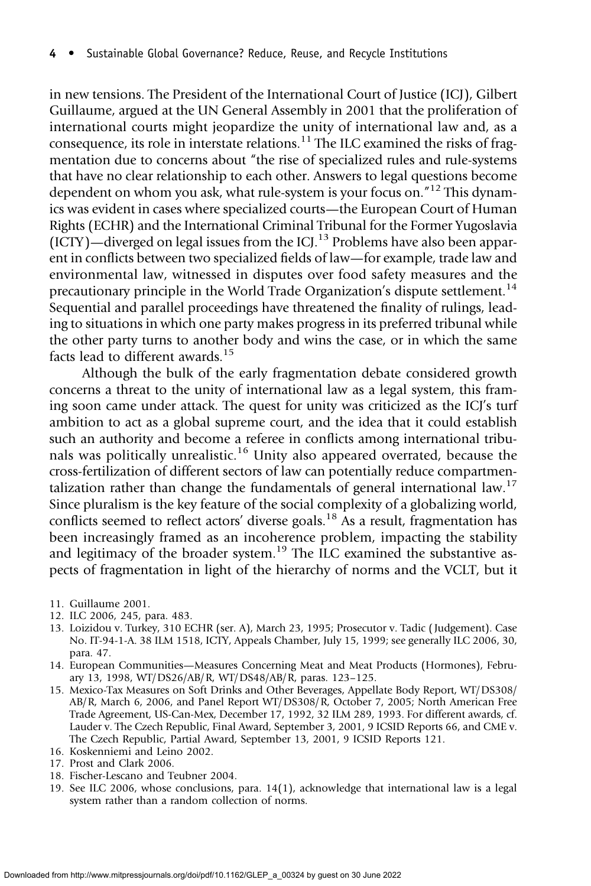in new tensions. The President of the International Court of Justice (ICJ), Gilbert Guillaume, argued at the UN General Assembly in 2001 that the proliferation of international courts might jeopardize the unity of international law and, as a consequence, its role in interstate relations. $11$  The ILC examined the risks of fragmentation due to concerns about "the rise of specialized rules and rule-systems that have no clear relationship to each other. Answers to legal questions become dependent on whom you ask, what rule-system is your focus on.<sup>"12</sup> This dynamics was evident in cases where specialized courts—the European Court of Human Rights (ECHR) and the International Criminal Tribunal for the Former Yugoslavia  $(ICTY)$ —diverged on legal issues from the ICJ.<sup>13</sup> Problems have also been apparent in conflicts between two specialized fields of law—for example, trade law and environmental law, witnessed in disputes over food safety measures and the precautionary principle in the World Trade Organization's dispute settlement.<sup>14</sup> Sequential and parallel proceedings have threatened the finality of rulings, leading to situations in which one party makes progress in its preferred tribunal while the other party turns to another body and wins the case, or in which the same facts lead to different awards.<sup>15</sup>

Although the bulk of the early fragmentation debate considered growth concerns a threat to the unity of international law as a legal system, this framing soon came under attack. The quest for unity was criticized as the ICJ's turf ambition to act as a global supreme court, and the idea that it could establish such an authority and become a referee in conflicts among international tribunals was politically unrealistic.<sup>16</sup> Unity also appeared overrated, because the cross-fertilization of different sectors of law can potentially reduce compartmentalization rather than change the fundamentals of general international law.<sup>17</sup> Since pluralism is the key feature of the social complexity of a globalizing world, conflicts seemed to reflect actors' diverse goals.<sup>18</sup> As a result, fragmentation has been increasingly framed as an incoherence problem, impacting the stability and legitimacy of the broader system.<sup>19</sup> The ILC examined the substantive aspects of fragmentation in light of the hierarchy of norms and the VCLT, but it

- 11. Guillaume 2001.
- 12. ILC 2006, 245, para. 483.
- 13. Loizidou v. Turkey, 310 ECHR (ser. A), March 23, 1995; Prosecutor v. Tadic ( Judgement). Case No. IT-94-1-A. 38 ILM 1518, ICTY, Appeals Chamber, July 15, 1999; see generally ILC 2006, 30, para. 47.
- 14. European Communities—Measures Concerning Meat and Meat Products (Hormones), February 13, 1998, WT/DS26/AB/R, WT/DS48/AB/R, paras. 123–125.
- 15. Mexico-Tax Measures on Soft Drinks and Other Beverages, Appellate Body Report, WT/DS308/ AB/R, March 6, 2006, and Panel Report WT/DS308/R, October 7, 2005; North American Free Trade Agreement, US-Can-Mex, December 17, 1992, 32 ILM 289, 1993. For different awards, cf. Lauder v. The Czech Republic, Final Award, September 3, 2001, 9 ICSID Reports 66, and CME v. The Czech Republic, Partial Award, September 13, 2001, 9 ICSID Reports 121.
- 16. Koskenniemi and Leino 2002.
- 17. Prost and Clark 2006.
- 18. Fischer-Lescano and Teubner 2004.
- 19. See ILC 2006, whose conclusions, para. 14(1), acknowledge that international law is a legal system rather than a random collection of norms.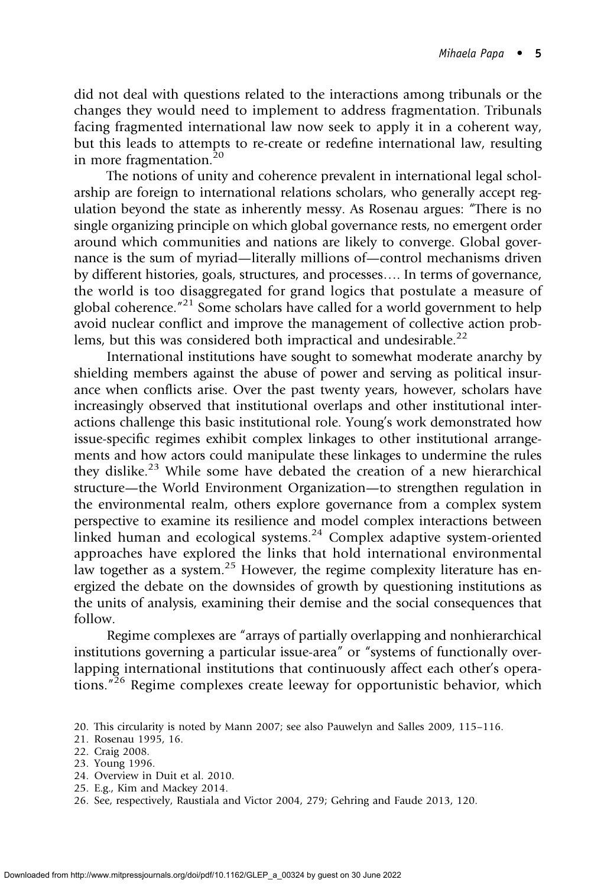did not deal with questions related to the interactions among tribunals or the changes they would need to implement to address fragmentation. Tribunals facing fragmented international law now seek to apply it in a coherent way, but this leads to attempts to re-create or redefine international law, resulting in more fragmentation.<sup>20</sup>

The notions of unity and coherence prevalent in international legal scholarship are foreign to international relations scholars, who generally accept regulation beyond the state as inherently messy. As Rosenau argues: "There is no single organizing principle on which global governance rests, no emergent order around which communities and nations are likely to converge. Global governance is the sum of myriad—literally millions of—control mechanisms driven by different histories, goals, structures, and processes…. In terms of governance, the world is too disaggregated for grand logics that postulate a measure of global coherence." <sup>21</sup> Some scholars have called for a world government to help avoid nuclear conflict and improve the management of collective action problems, but this was considered both impractical and undesirable.<sup>22</sup>

International institutions have sought to somewhat moderate anarchy by shielding members against the abuse of power and serving as political insurance when conflicts arise. Over the past twenty years, however, scholars have increasingly observed that institutional overlaps and other institutional interactions challenge this basic institutional role. Young's work demonstrated how issue-specific regimes exhibit complex linkages to other institutional arrangements and how actors could manipulate these linkages to undermine the rules they dislike.<sup>23</sup> While some have debated the creation of a new hierarchical structure—the World Environment Organization—to strengthen regulation in the environmental realm, others explore governance from a complex system perspective to examine its resilience and model complex interactions between linked human and ecological systems.<sup>24</sup> Complex adaptive system-oriented approaches have explored the links that hold international environmental law together as a system.<sup>25</sup> However, the regime complexity literature has energized the debate on the downsides of growth by questioning institutions as the units of analysis, examining their demise and the social consequences that follow.

Regime complexes are "arrays of partially overlapping and nonhierarchical institutions governing a particular issue-area" or "systems of functionally overlapping international institutions that continuously affect each other's operations."<sup>26</sup> Regime complexes create leeway for opportunistic behavior, which

- 24. Overview in Duit et al. 2010.
- 25. E.g., Kim and Mackey 2014.
- 26. See, respectively, Raustiala and Victor 2004, 279; Gehring and Faude 2013, 120.

<sup>20.</sup> This circularity is noted by Mann 2007; see also Pauwelyn and Salles 2009, 115–116.

<sup>21.</sup> Rosenau 1995, 16.

<sup>22.</sup> Craig 2008.

<sup>23.</sup> Young 1996.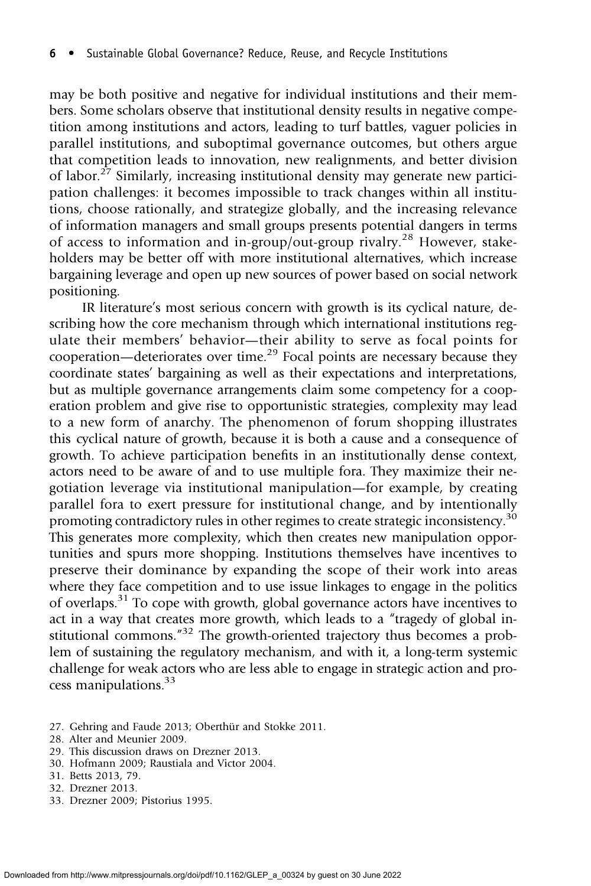may be both positive and negative for individual institutions and their members. Some scholars observe that institutional density results in negative competition among institutions and actors, leading to turf battles, vaguer policies in parallel institutions, and suboptimal governance outcomes, but others argue that competition leads to innovation, new realignments, and better division of labor.<sup>27</sup> Similarly, increasing institutional density may generate new participation challenges: it becomes impossible to track changes within all institutions, choose rationally, and strategize globally, and the increasing relevance of information managers and small groups presents potential dangers in terms of access to information and in-group/out-group rivalry.<sup>28</sup> However, stakeholders may be better off with more institutional alternatives, which increase bargaining leverage and open up new sources of power based on social network positioning.

IR literature's most serious concern with growth is its cyclical nature, describing how the core mechanism through which international institutions regulate their members' behavior—their ability to serve as focal points for cooperation—deteriorates over time.<sup>29</sup> Focal points are necessary because they coordinate states' bargaining as well as their expectations and interpretations, but as multiple governance arrangements claim some competency for a cooperation problem and give rise to opportunistic strategies, complexity may lead to a new form of anarchy. The phenomenon of forum shopping illustrates this cyclical nature of growth, because it is both a cause and a consequence of growth. To achieve participation benefits in an institutionally dense context, actors need to be aware of and to use multiple fora. They maximize their negotiation leverage via institutional manipulation—for example, by creating parallel fora to exert pressure for institutional change, and by intentionally promoting contradictory rules in other regimes to create strategic inconsistency.<sup>30</sup> This generates more complexity, which then creates new manipulation opportunities and spurs more shopping. Institutions themselves have incentives to preserve their dominance by expanding the scope of their work into areas where they face competition and to use issue linkages to engage in the politics of overlaps. $31$  To cope with growth, global governance actors have incentives to act in a way that creates more growth, which leads to a "tragedy of global institutional commons."<sup>32</sup> The growth-oriented trajectory thus becomes a problem of sustaining the regulatory mechanism, and with it, a long-term systemic challenge for weak actors who are less able to engage in strategic action and process manipulations.<sup>33</sup>

- 27. Gehring and Faude 2013; Oberthür and Stokke 2011.
- 28. Alter and Meunier 2009.
- 29. This discussion draws on Drezner 2013.
- 30. Hofmann 2009; Raustiala and Victor 2004.
- 31. Betts 2013, 79.
- 32. Drezner 2013.
- 33. Drezner 2009; Pistorius 1995.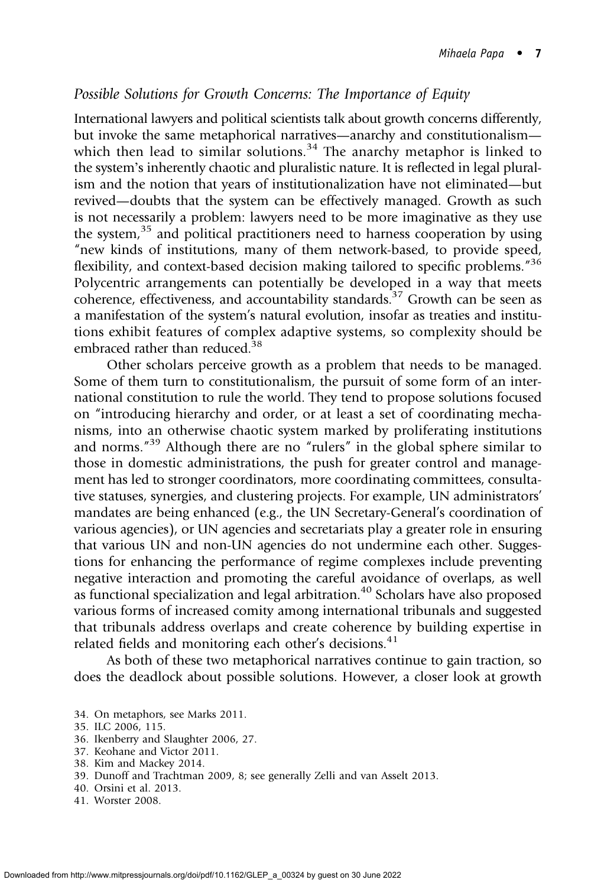## Possible Solutions for Growth Concerns: The Importance of Equity

International lawyers and political scientists talk about growth concerns differently, but invoke the same metaphorical narratives—anarchy and constitutionalism which then lead to similar solutions.<sup>34</sup> The anarchy metaphor is linked to the system's inherently chaotic and pluralistic nature. It is reflected in legal pluralism and the notion that years of institutionalization have not eliminated—but revived—doubts that the system can be effectively managed. Growth as such is not necessarily a problem: lawyers need to be more imaginative as they use the system, $35$  and political practitioners need to harness cooperation by using "new kinds of institutions, many of them network-based, to provide speed, flexibility, and context-based decision making tailored to specific problems."<sup>36</sup> Polycentric arrangements can potentially be developed in a way that meets coherence, effectiveness, and accountability standards.<sup>37</sup> Growth can be seen as a manifestation of the system's natural evolution, insofar as treaties and institutions exhibit features of complex adaptive systems, so complexity should be embraced rather than reduced.<sup>38</sup>

Other scholars perceive growth as a problem that needs to be managed. Some of them turn to constitutionalism, the pursuit of some form of an international constitution to rule the world. They tend to propose solutions focused on "introducing hierarchy and order, or at least a set of coordinating mechanisms, into an otherwise chaotic system marked by proliferating institutions and norms.<sup>"39</sup> Although there are no "rulers" in the global sphere similar to those in domestic administrations, the push for greater control and management has led to stronger coordinators, more coordinating committees, consultative statuses, synergies, and clustering projects. For example, UN administrators' mandates are being enhanced (e.g., the UN Secretary-General's coordination of various agencies), or UN agencies and secretariats play a greater role in ensuring that various UN and non-UN agencies do not undermine each other. Suggestions for enhancing the performance of regime complexes include preventing negative interaction and promoting the careful avoidance of overlaps, as well as functional specialization and legal arbitration.<sup>40</sup> Scholars have also proposed various forms of increased comity among international tribunals and suggested that tribunals address overlaps and create coherence by building expertise in related fields and monitoring each other's decisions.<sup>41</sup>

As both of these two metaphorical narratives continue to gain traction, so does the deadlock about possible solutions. However, a closer look at growth

- 34. On metaphors, see Marks 2011.
- 35. ILC 2006, 115.
- 36. Ikenberry and Slaughter 2006, 27.
- 37. Keohane and Victor 2011.
- 38. Kim and Mackey 2014.
- 39. Dunoff and Trachtman 2009, 8; see generally Zelli and van Asselt 2013.
- 40. Orsini et al. 2013.
- 41. Worster 2008.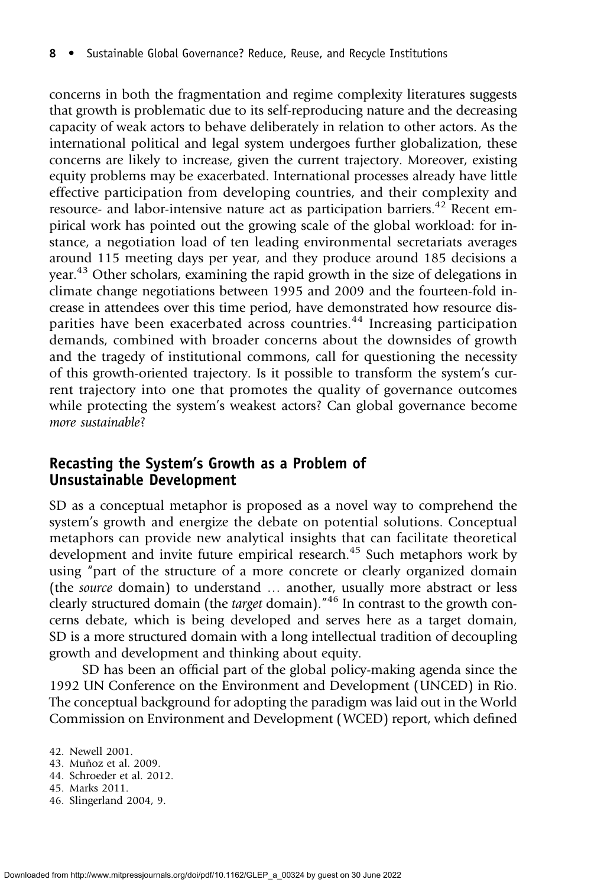concerns in both the fragmentation and regime complexity literatures suggests that growth is problematic due to its self-reproducing nature and the decreasing capacity of weak actors to behave deliberately in relation to other actors. As the international political and legal system undergoes further globalization, these concerns are likely to increase, given the current trajectory. Moreover, existing equity problems may be exacerbated. International processes already have little effective participation from developing countries, and their complexity and resource- and labor-intensive nature act as participation barriers.<sup>42</sup> Recent empirical work has pointed out the growing scale of the global workload: for instance, a negotiation load of ten leading environmental secretariats averages around 115 meeting days per year, and they produce around 185 decisions a year.<sup>43</sup> Other scholars, examining the rapid growth in the size of delegations in climate change negotiations between 1995 and 2009 and the fourteen-fold increase in attendees over this time period, have demonstrated how resource disparities have been exacerbated across countries.<sup>44</sup> Increasing participation demands, combined with broader concerns about the downsides of growth and the tragedy of institutional commons, call for questioning the necessity of this growth-oriented trajectory. Is it possible to transform the system's current trajectory into one that promotes the quality of governance outcomes while protecting the system's weakest actors? Can global governance become more sustainable?

## Recasting the System's Growth as a Problem of Unsustainable Development

SD as a conceptual metaphor is proposed as a novel way to comprehend the system's growth and energize the debate on potential solutions. Conceptual metaphors can provide new analytical insights that can facilitate theoretical development and invite future empirical research.<sup>45</sup> Such metaphors work by using "part of the structure of a more concrete or clearly organized domain (the source domain) to understand … another, usually more abstract or less clearly structured domain (the target domain).<sup>"46</sup> In contrast to the growth concerns debate, which is being developed and serves here as a target domain, SD is a more structured domain with a long intellectual tradition of decoupling growth and development and thinking about equity.

SD has been an official part of the global policy-making agenda since the 1992 UN Conference on the Environment and Development (UNCED) in Rio. The conceptual background for adopting the paradigm was laid out in the World Commission on Environment and Development (WCED) report, which defined

- 45. Marks 2011.
- 46. Slingerland 2004, 9.

<sup>42.</sup> Newell 2001.

<sup>43.</sup> Muñoz et al. 2009.

<sup>44.</sup> Schroeder et al. 2012.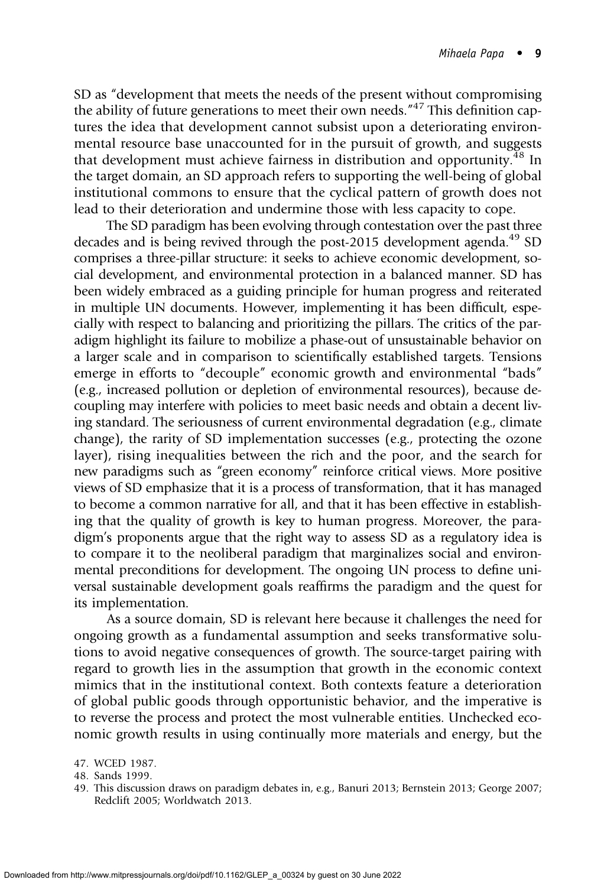SD as "development that meets the needs of the present without compromising the ability of future generations to meet their own needs.<sup>"47</sup> This definition captures the idea that development cannot subsist upon a deteriorating environmental resource base unaccounted for in the pursuit of growth, and suggests that development must achieve fairness in distribution and opportunity.<sup>48</sup> In the target domain, an SD approach refers to supporting the well-being of global institutional commons to ensure that the cyclical pattern of growth does not lead to their deterioration and undermine those with less capacity to cope.

The SD paradigm has been evolving through contestation over the past three decades and is being revived through the post-2015 development agenda.<sup>49</sup> SD comprises a three-pillar structure: it seeks to achieve economic development, social development, and environmental protection in a balanced manner. SD has been widely embraced as a guiding principle for human progress and reiterated in multiple UN documents. However, implementing it has been difficult, especially with respect to balancing and prioritizing the pillars. The critics of the paradigm highlight its failure to mobilize a phase-out of unsustainable behavior on a larger scale and in comparison to scientifically established targets. Tensions emerge in efforts to "decouple" economic growth and environmental "bads" (e.g., increased pollution or depletion of environmental resources), because decoupling may interfere with policies to meet basic needs and obtain a decent living standard. The seriousness of current environmental degradation (e.g., climate change), the rarity of SD implementation successes (e.g., protecting the ozone layer), rising inequalities between the rich and the poor, and the search for new paradigms such as "green economy" reinforce critical views. More positive views of SD emphasize that it is a process of transformation, that it has managed to become a common narrative for all, and that it has been effective in establishing that the quality of growth is key to human progress. Moreover, the paradigm's proponents argue that the right way to assess SD as a regulatory idea is to compare it to the neoliberal paradigm that marginalizes social and environmental preconditions for development. The ongoing UN process to define universal sustainable development goals reaffirms the paradigm and the quest for its implementation.

As a source domain, SD is relevant here because it challenges the need for ongoing growth as a fundamental assumption and seeks transformative solutions to avoid negative consequences of growth. The source-target pairing with regard to growth lies in the assumption that growth in the economic context mimics that in the institutional context. Both contexts feature a deterioration of global public goods through opportunistic behavior, and the imperative is to reverse the process and protect the most vulnerable entities. Unchecked economic growth results in using continually more materials and energy, but the

<sup>47.</sup> WCED 1987.

<sup>48.</sup> Sands 1999.

<sup>49.</sup> This discussion draws on paradigm debates in, e.g., Banuri 2013; Bernstein 2013; George 2007; Redclift 2005; Worldwatch 2013.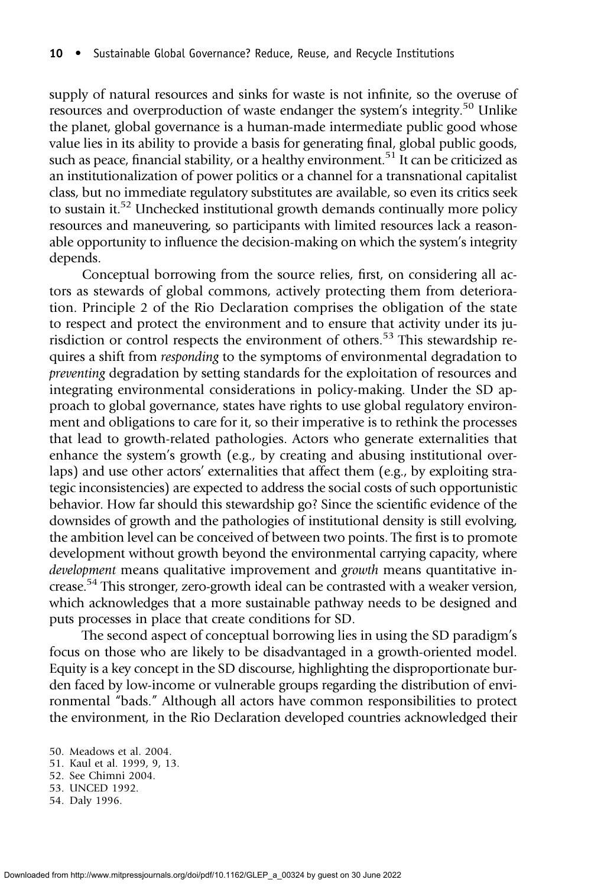supply of natural resources and sinks for waste is not infinite, so the overuse of resources and overproduction of waste endanger the system's integrity.<sup>50</sup> Unlike the planet, global governance is a human-made intermediate public good whose value lies in its ability to provide a basis for generating final, global public goods, such as peace, financial stability, or a healthy environment.<sup>51</sup> It can be criticized as an institutionalization of power politics or a channel for a transnational capitalist class, but no immediate regulatory substitutes are available, so even its critics seek to sustain it.<sup>52</sup> Unchecked institutional growth demands continually more policy resources and maneuvering, so participants with limited resources lack a reasonable opportunity to influence the decision-making on which the system's integrity depends.

Conceptual borrowing from the source relies, first, on considering all actors as stewards of global commons, actively protecting them from deterioration. Principle 2 of the Rio Declaration comprises the obligation of the state to respect and protect the environment and to ensure that activity under its jurisdiction or control respects the environment of others.<sup>53</sup> This stewardship requires a shift from responding to the symptoms of environmental degradation to preventing degradation by setting standards for the exploitation of resources and integrating environmental considerations in policy-making. Under the SD approach to global governance, states have rights to use global regulatory environment and obligations to care for it, so their imperative is to rethink the processes that lead to growth-related pathologies. Actors who generate externalities that enhance the system's growth (e.g., by creating and abusing institutional overlaps) and use other actors' externalities that affect them (e.g., by exploiting strategic inconsistencies) are expected to address the social costs of such opportunistic behavior. How far should this stewardship go? Since the scientific evidence of the downsides of growth and the pathologies of institutional density is still evolving, the ambition level can be conceived of between two points. The first is to promote development without growth beyond the environmental carrying capacity, where development means qualitative improvement and growth means quantitative increase.<sup>54</sup> This stronger, zero-growth ideal can be contrasted with a weaker version, which acknowledges that a more sustainable pathway needs to be designed and puts processes in place that create conditions for SD.

The second aspect of conceptual borrowing lies in using the SD paradigm's focus on those who are likely to be disadvantaged in a growth-oriented model. Equity is a key concept in the SD discourse, highlighting the disproportionate burden faced by low-income or vulnerable groups regarding the distribution of environmental "bads." Although all actors have common responsibilities to protect the environment, in the Rio Declaration developed countries acknowledged their

- 53. UNCED 1992.
- 54. Daly 1996.

<sup>50.</sup> Meadows et al. 2004.

<sup>51.</sup> Kaul et al. 1999, 9, 13.

<sup>52.</sup> See Chimni 2004.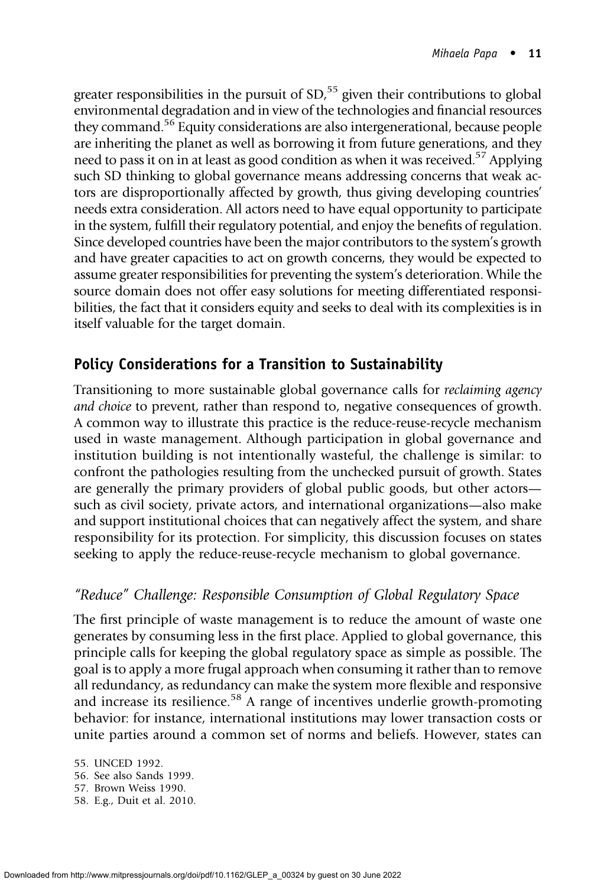greater responsibilities in the pursuit of SD,<sup>55</sup> given their contributions to global environmental degradation and in view of the technologies and financial resources they command.<sup>56</sup> Equity considerations are also intergenerational, because people are inheriting the planet as well as borrowing it from future generations, and they need to pass it on in at least as good condition as when it was received.<sup>57</sup> Applying such SD thinking to global governance means addressing concerns that weak actors are disproportionally affected by growth, thus giving developing countries' needs extra consideration. All actors need to have equal opportunity to participate in the system, fulfill their regulatory potential, and enjoy the benefits of regulation. Since developed countries have been the major contributors to the system's growth and have greater capacities to act on growth concerns, they would be expected to assume greater responsibilities for preventing the system's deterioration. While the source domain does not offer easy solutions for meeting differentiated responsibilities, the fact that it considers equity and seeks to deal with its complexities is in itself valuable for the target domain.

# Policy Considerations for a Transition to Sustainability

Transitioning to more sustainable global governance calls for reclaiming agency and choice to prevent, rather than respond to, negative consequences of growth. A common way to illustrate this practice is the reduce-reuse-recycle mechanism used in waste management. Although participation in global governance and institution building is not intentionally wasteful, the challenge is similar: to confront the pathologies resulting from the unchecked pursuit of growth. States are generally the primary providers of global public goods, but other actors such as civil society, private actors, and international organizations—also make and support institutional choices that can negatively affect the system, and share responsibility for its protection. For simplicity, this discussion focuses on states seeking to apply the reduce-reuse-recycle mechanism to global governance.

# "Reduce" Challenge: Responsible Consumption of Global Regulatory Space

The first principle of waste management is to reduce the amount of waste one generates by consuming less in the first place. Applied to global governance, this principle calls for keeping the global regulatory space as simple as possible. The goal is to apply a more frugal approach when consuming it rather than to remove all redundancy, as redundancy can make the system more flexible and responsive and increase its resilience.<sup>58</sup> A range of incentives underlie growth-promoting behavior: for instance, international institutions may lower transaction costs or unite parties around a common set of norms and beliefs. However, states can

<sup>55.</sup> UNCED 1992.

<sup>56.</sup> See also Sands 1999.

<sup>57.</sup> Brown Weiss 1990.

<sup>58.</sup> E.g., Duit et al. 2010.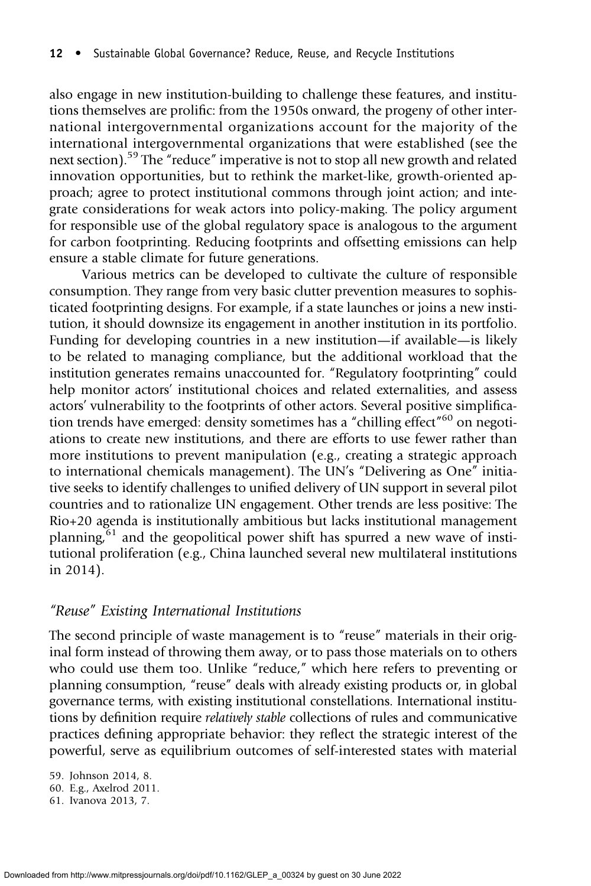also engage in new institution-building to challenge these features, and institutions themselves are prolific: from the 1950s onward, the progeny of other international intergovernmental organizations account for the majority of the international intergovernmental organizations that were established (see the next section).<sup>59</sup> The "reduce" imperative is not to stop all new growth and related innovation opportunities, but to rethink the market-like, growth-oriented approach; agree to protect institutional commons through joint action; and integrate considerations for weak actors into policy-making. The policy argument for responsible use of the global regulatory space is analogous to the argument for carbon footprinting. Reducing footprints and offsetting emissions can help ensure a stable climate for future generations.

Various metrics can be developed to cultivate the culture of responsible consumption. They range from very basic clutter prevention measures to sophisticated footprinting designs. For example, if a state launches or joins a new institution, it should downsize its engagement in another institution in its portfolio. Funding for developing countries in a new institution—if available—is likely to be related to managing compliance, but the additional workload that the institution generates remains unaccounted for. "Regulatory footprinting" could help monitor actors' institutional choices and related externalities, and assess actors' vulnerability to the footprints of other actors. Several positive simplification trends have emerged: density sometimes has a "chilling effect"<sup>60</sup> on negotiations to create new institutions, and there are efforts to use fewer rather than more institutions to prevent manipulation (e.g., creating a strategic approach to international chemicals management). The UN's "Delivering as One" initiative seeks to identify challenges to unified delivery of UN support in several pilot countries and to rationalize UN engagement. Other trends are less positive: The Rio+20 agenda is institutionally ambitious but lacks institutional management planning,  $61$  and the geopolitical power shift has spurred a new wave of institutional proliferation (e.g., China launched several new multilateral institutions in 2014).

## "Reuse" Existing International Institutions

The second principle of waste management is to "reuse" materials in their original form instead of throwing them away, or to pass those materials on to others who could use them too. Unlike "reduce," which here refers to preventing or planning consumption, "reuse" deals with already existing products or, in global governance terms, with existing institutional constellations. International institutions by definition require relatively stable collections of rules and communicative practices defining appropriate behavior: they reflect the strategic interest of the powerful, serve as equilibrium outcomes of self-interested states with material

59. Johnson 2014, 8.

61. Ivanova 2013, 7.

<sup>60.</sup> E.g., Axelrod 2011.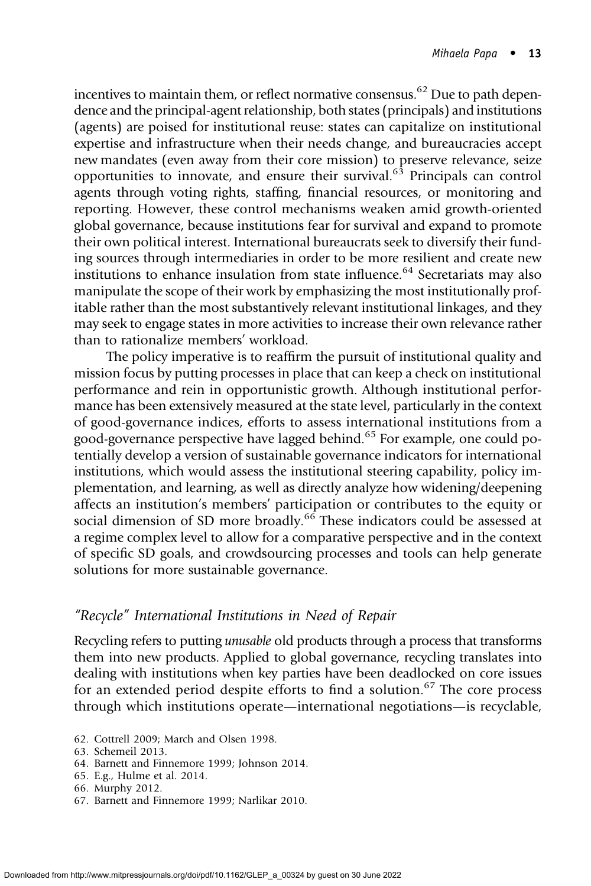incentives to maintain them, or reflect normative consensus.<sup>62</sup> Due to path dependence and the principal-agent relationship, both states (principals) and institutions (agents) are poised for institutional reuse: states can capitalize on institutional expertise and infrastructure when their needs change, and bureaucracies accept new mandates (even away from their core mission) to preserve relevance, seize opportunities to innovate, and ensure their survival.<sup>63</sup> Principals can control agents through voting rights, staffing, financial resources, or monitoring and reporting. However, these control mechanisms weaken amid growth-oriented global governance, because institutions fear for survival and expand to promote their own political interest. International bureaucrats seek to diversify their funding sources through intermediaries in order to be more resilient and create new institutions to enhance insulation from state influence.<sup>64</sup> Secretariats may also manipulate the scope of their work by emphasizing the most institutionally profitable rather than the most substantively relevant institutional linkages, and they may seek to engage states in more activities to increase their own relevance rather than to rationalize members' workload.

The policy imperative is to reaffirm the pursuit of institutional quality and mission focus by putting processes in place that can keep a check on institutional performance and rein in opportunistic growth. Although institutional performance has been extensively measured at the state level, particularly in the context of good-governance indices, efforts to assess international institutions from a good-governance perspective have lagged behind.<sup>65</sup> For example, one could potentially develop a version of sustainable governance indicators for international institutions, which would assess the institutional steering capability, policy implementation, and learning, as well as directly analyze how widening/deepening affects an institution's members' participation or contributes to the equity or social dimension of SD more broadly.<sup>66</sup> These indicators could be assessed at a regime complex level to allow for a comparative perspective and in the context of specific SD goals, and crowdsourcing processes and tools can help generate solutions for more sustainable governance.

## "Recycle" International Institutions in Need of Repair

Recycling refers to putting unusable old products through a process that transforms them into new products. Applied to global governance, recycling translates into dealing with institutions when key parties have been deadlocked on core issues for an extended period despite efforts to find a solution.<sup>67</sup> The core process through which institutions operate—international negotiations—is recyclable,

<sup>62.</sup> Cottrell 2009; March and Olsen 1998.

<sup>63.</sup> Schemeil 2013.

<sup>64.</sup> Barnett and Finnemore 1999; Johnson 2014.

<sup>65.</sup> E.g., Hulme et al. 2014.

<sup>66.</sup> Murphy 2012.

<sup>67.</sup> Barnett and Finnemore 1999; Narlikar 2010.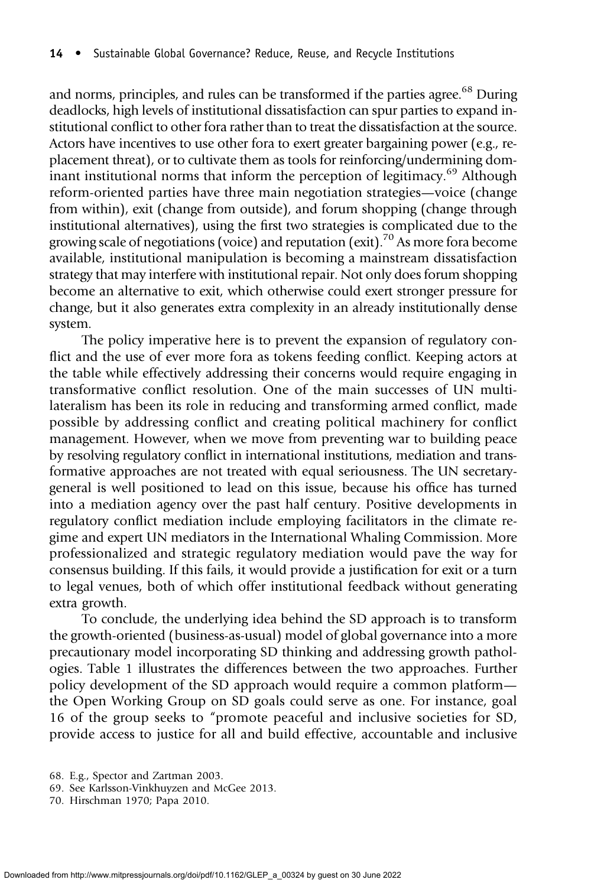and norms, principles, and rules can be transformed if the parties agree.<sup>68</sup> During deadlocks, high levels of institutional dissatisfaction can spur parties to expand institutional conflict to other fora rather than to treat the dissatisfaction at the source. Actors have incentives to use other fora to exert greater bargaining power (e.g., replacement threat), or to cultivate them as tools for reinforcing/undermining dominant institutional norms that inform the perception of legitimacy.<sup>69</sup> Although reform-oriented parties have three main negotiation strategies—voice (change from within), exit (change from outside), and forum shopping (change through institutional alternatives), using the first two strategies is complicated due to the growing scale of negotiations (voice) and reputation (exit).<sup>70</sup> As more fora become available, institutional manipulation is becoming a mainstream dissatisfaction strategy that may interfere with institutional repair. Not only does forum shopping become an alternative to exit, which otherwise could exert stronger pressure for change, but it also generates extra complexity in an already institutionally dense system.

The policy imperative here is to prevent the expansion of regulatory conflict and the use of ever more fora as tokens feeding conflict. Keeping actors at the table while effectively addressing their concerns would require engaging in transformative conflict resolution. One of the main successes of UN multilateralism has been its role in reducing and transforming armed conflict, made possible by addressing conflict and creating political machinery for conflict management. However, when we move from preventing war to building peace by resolving regulatory conflict in international institutions, mediation and transformative approaches are not treated with equal seriousness. The UN secretarygeneral is well positioned to lead on this issue, because his office has turned into a mediation agency over the past half century. Positive developments in regulatory conflict mediation include employing facilitators in the climate regime and expert UN mediators in the International Whaling Commission. More professionalized and strategic regulatory mediation would pave the way for consensus building. If this fails, it would provide a justification for exit or a turn to legal venues, both of which offer institutional feedback without generating extra growth.

To conclude, the underlying idea behind the SD approach is to transform the growth-oriented (business-as-usual) model of global governance into a more precautionary model incorporating SD thinking and addressing growth pathologies. Table 1 illustrates the differences between the two approaches. Further policy development of the SD approach would require a common platform the Open Working Group on SD goals could serve as one. For instance, goal 16 of the group seeks to "promote peaceful and inclusive societies for SD, provide access to justice for all and build effective, accountable and inclusive

<sup>68.</sup> E.g., Spector and Zartman 2003.

<sup>69.</sup> See Karlsson-Vinkhuyzen and McGee 2013.

<sup>70.</sup> Hirschman 1970; Papa 2010.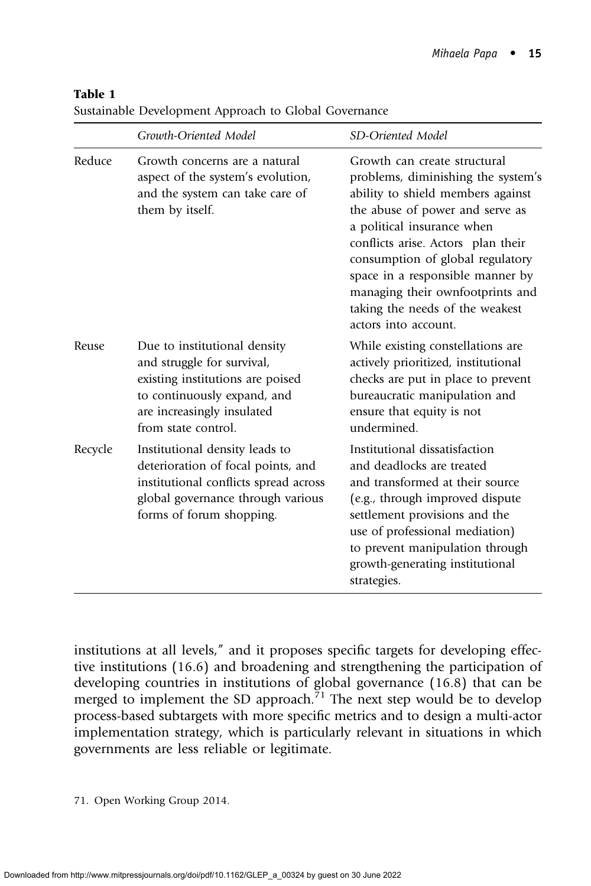|         | Growth-Oriented Model                                                                                                                                                              | SD-Oriented Model                                                                                                                                                                                                                                                                                                                                                                     |
|---------|------------------------------------------------------------------------------------------------------------------------------------------------------------------------------------|---------------------------------------------------------------------------------------------------------------------------------------------------------------------------------------------------------------------------------------------------------------------------------------------------------------------------------------------------------------------------------------|
| Reduce  | Growth concerns are a natural<br>aspect of the system's evolution,<br>and the system can take care of<br>them by itself.                                                           | Growth can create structural<br>problems, diminishing the system's<br>ability to shield members against<br>the abuse of power and serve as<br>a political insurance when<br>conflicts arise. Actors plan their<br>consumption of global regulatory<br>space in a responsible manner by<br>managing their ownfootprints and<br>taking the needs of the weakest<br>actors into account. |
| Reuse   | Due to institutional density<br>and struggle for survival,<br>existing institutions are poised<br>to continuously expand, and<br>are increasingly insulated<br>from state control. | While existing constellations are<br>actively prioritized, institutional<br>checks are put in place to prevent<br>bureaucratic manipulation and<br>ensure that equity is not<br>undermined.                                                                                                                                                                                           |
| Recycle | Institutional density leads to<br>deterioration of focal points, and<br>institutional conflicts spread across<br>global governance through various<br>forms of forum shopping.     | Institutional dissatisfaction<br>and deadlocks are treated<br>and transformed at their source<br>(e.g., through improved dispute<br>settlement provisions and the<br>use of professional mediation)<br>to prevent manipulation through<br>growth-generating institutional<br>strategies.                                                                                              |

#### Table 1

Sustainable Development Approach to Global Governance

institutions at all levels," and it proposes specific targets for developing effective institutions (16.6) and broadening and strengthening the participation of developing countries in institutions of global governance (16.8) that can be merged to implement the SD approach. <sup> $71$ </sup> The next step would be to develop process-based subtargets with more specific metrics and to design a multi-actor implementation strategy, which is particularly relevant in situations in which governments are less reliable or legitimate.

71. Open Working Group 2014.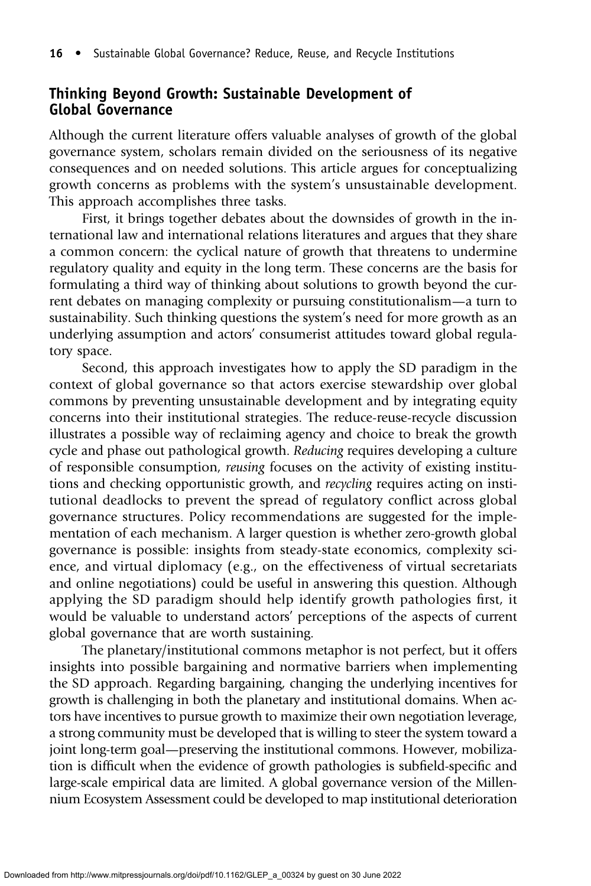## Thinking Beyond Growth: Sustainable Development of Global Governance

Although the current literature offers valuable analyses of growth of the global governance system, scholars remain divided on the seriousness of its negative consequences and on needed solutions. This article argues for conceptualizing growth concerns as problems with the system's unsustainable development. This approach accomplishes three tasks.

First, it brings together debates about the downsides of growth in the international law and international relations literatures and argues that they share a common concern: the cyclical nature of growth that threatens to undermine regulatory quality and equity in the long term. These concerns are the basis for formulating a third way of thinking about solutions to growth beyond the current debates on managing complexity or pursuing constitutionalism—a turn to sustainability. Such thinking questions the system's need for more growth as an underlying assumption and actors' consumerist attitudes toward global regulatory space.

Second, this approach investigates how to apply the SD paradigm in the context of global governance so that actors exercise stewardship over global commons by preventing unsustainable development and by integrating equity concerns into their institutional strategies. The reduce-reuse-recycle discussion illustrates a possible way of reclaiming agency and choice to break the growth cycle and phase out pathological growth. Reducing requires developing a culture of responsible consumption, reusing focuses on the activity of existing institutions and checking opportunistic growth, and recycling requires acting on institutional deadlocks to prevent the spread of regulatory conflict across global governance structures. Policy recommendations are suggested for the implementation of each mechanism. A larger question is whether zero-growth global governance is possible: insights from steady-state economics, complexity science, and virtual diplomacy (e.g., on the effectiveness of virtual secretariats and online negotiations) could be useful in answering this question. Although applying the SD paradigm should help identify growth pathologies first, it would be valuable to understand actors' perceptions of the aspects of current global governance that are worth sustaining.

The planetary/institutional commons metaphor is not perfect, but it offers insights into possible bargaining and normative barriers when implementing the SD approach. Regarding bargaining, changing the underlying incentives for growth is challenging in both the planetary and institutional domains. When actors have incentives to pursue growth to maximize their own negotiation leverage, a strong community must be developed that is willing to steer the system toward a joint long-term goal—preserving the institutional commons. However, mobilization is difficult when the evidence of growth pathologies is subfield-specific and large-scale empirical data are limited. A global governance version of the Millennium Ecosystem Assessment could be developed to map institutional deterioration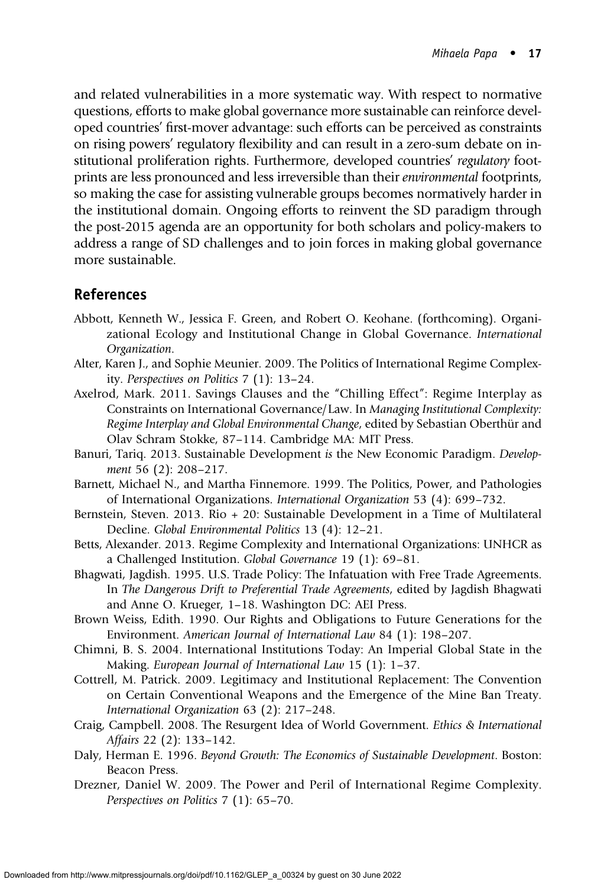and related vulnerabilities in a more systematic way. With respect to normative questions, efforts to make global governance more sustainable can reinforce developed countries' first-mover advantage: such efforts can be perceived as constraints on rising powers' regulatory flexibility and can result in a zero-sum debate on institutional proliferation rights. Furthermore, developed countries' regulatory footprints are less pronounced and less irreversible than their environmental footprints, so making the case for assisting vulnerable groups becomes normatively harder in the institutional domain. Ongoing efforts to reinvent the SD paradigm through the post-2015 agenda are an opportunity for both scholars and policy-makers to address a range of SD challenges and to join forces in making global governance more sustainable.

# References

- Abbott, Kenneth W., Jessica F. Green, and Robert O. Keohane. (forthcoming). Organizational Ecology and Institutional Change in Global Governance. International Organization.
- Alter, Karen J., and Sophie Meunier. 2009. The Politics of International Regime Complexity. Perspectives on Politics 7 (1): 13–24.
- Axelrod, Mark. 2011. Savings Clauses and the "Chilling Effect": Regime Interplay as Constraints on International Governance/Law. In Managing Institutional Complexity: Regime Interplay and Global Environmental Change, edited by Sebastian Oberthür and Olav Schram Stokke, 87–114. Cambridge MA: MIT Press.
- Banuri, Tariq. 2013. Sustainable Development is the New Economic Paradigm. Development 56 (2): 208–217.
- Barnett, Michael N., and Martha Finnemore. 1999. The Politics, Power, and Pathologies of International Organizations. International Organization 53 (4): 699–732.
- Bernstein, Steven. 2013. Rio + 20: Sustainable Development in a Time of Multilateral Decline. Global Environmental Politics 13 (4): 12–21.
- Betts, Alexander. 2013. Regime Complexity and International Organizations: UNHCR as a Challenged Institution. Global Governance 19 (1): 69–81.
- Bhagwati, Jagdish. 1995. U.S. Trade Policy: The Infatuation with Free Trade Agreements. In The Dangerous Drift to Preferential Trade Agreements, edited by Jagdish Bhagwati and Anne O. Krueger, 1–18. Washington DC: AEI Press.
- Brown Weiss, Edith. 1990. Our Rights and Obligations to Future Generations for the Environment. American Journal of International Law 84 (1): 198–207.
- Chimni, B. S. 2004. International Institutions Today: An Imperial Global State in the Making. European Journal of International Law 15 (1): 1–37.
- Cottrell, M. Patrick. 2009. Legitimacy and Institutional Replacement: The Convention on Certain Conventional Weapons and the Emergence of the Mine Ban Treaty. International Organization 63 (2): 217–248.
- Craig, Campbell. 2008. The Resurgent Idea of World Government. Ethics & International Affairs 22 (2): 133–142.
- Daly, Herman E. 1996. Beyond Growth: The Economics of Sustainable Development. Boston: Beacon Press.
- Drezner, Daniel W. 2009. The Power and Peril of International Regime Complexity. Perspectives on Politics 7 (1): 65–70.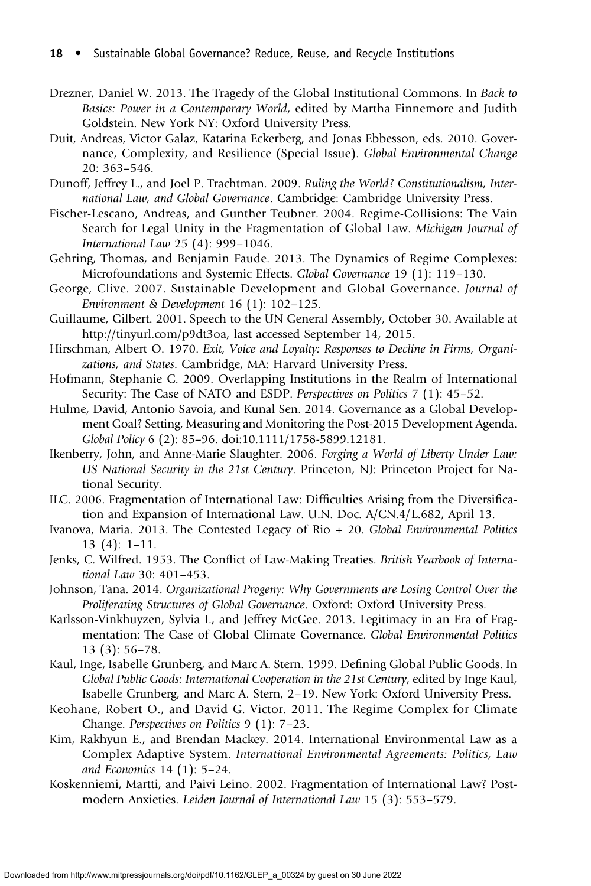- Drezner, Daniel W. 2013. The Tragedy of the Global Institutional Commons. In Back to Basics: Power in a Contemporary World, edited by Martha Finnemore and Judith Goldstein. New York NY: Oxford University Press.
- Duit, Andreas, Victor Galaz, Katarina Eckerberg, and Jonas Ebbesson, eds. 2010. Governance, Complexity, and Resilience (Special Issue). Global Environmental Change 20: 363–546.

Dunoff, Jeffrey L., and Joel P. Trachtman. 2009. Ruling the World? Constitutionalism, International Law, and Global Governance. Cambridge: Cambridge University Press.

- Fischer-Lescano, Andreas, and Gunther Teubner. 2004. Regime-Collisions: The Vain Search for Legal Unity in the Fragmentation of Global Law. Michigan Journal of International Law 25 (4): 999–1046.
- Gehring, Thomas, and Benjamin Faude. 2013. The Dynamics of Regime Complexes: Microfoundations and Systemic Effects. Global Governance 19 (1): 119–130.
- George, Clive. 2007. Sustainable Development and Global Governance. Journal of Environment & Development 16 (1): 102–125.

Guillaume, Gilbert. 2001. Speech to the UN General Assembly, October 30. Available at http://tinyurl.com/p9dt3oa, last accessed September 14, 2015.

- Hirschman, Albert O. 1970. Exit, Voice and Loyalty: Responses to Decline in Firms, Organizations, and States. Cambridge, MA: Harvard University Press.
- Hofmann, Stephanie C. 2009. Overlapping Institutions in the Realm of International Security: The Case of NATO and ESDP. Perspectives on Politics 7 (1): 45-52.
- Hulme, David, Antonio Savoia, and Kunal Sen. 2014. Governance as a Global Development Goal? Setting, Measuring and Monitoring the Post-2015 Development Agenda. Global Policy 6 (2): 85–96. doi:10.1111/1758-5899.12181.
- Ikenberry, John, and Anne-Marie Slaughter. 2006. Forging a World of Liberty Under Law: US National Security in the 21st Century. Princeton, NJ: Princeton Project for National Security.
- ILC. 2006. Fragmentation of International Law: Difficulties Arising from the Diversification and Expansion of International Law. U.N. Doc. A/CN.4/L.682, April 13.
- Ivanova, Maria. 2013. The Contested Legacy of Rio + 20. Global Environmental Politics 13 (4): 1–11.
- Jenks, C. Wilfred. 1953. The Conflict of Law-Making Treaties. British Yearbook of International Law 30: 401–453.
- Johnson, Tana. 2014. Organizational Progeny: Why Governments are Losing Control Over the Proliferating Structures of Global Governance. Oxford: Oxford University Press.
- Karlsson-Vinkhuyzen, Sylvia I., and Jeffrey McGee. 2013. Legitimacy in an Era of Fragmentation: The Case of Global Climate Governance. Global Environmental Politics 13 (3): 56–78.
- Kaul, Inge, Isabelle Grunberg, and Marc A. Stern. 1999. Defining Global Public Goods. In Global Public Goods: International Cooperation in the 21st Century, edited by Inge Kaul, Isabelle Grunberg, and Marc A. Stern, 2–19. New York: Oxford University Press.
- Keohane, Robert O., and David G. Victor. 2011. The Regime Complex for Climate Change. Perspectives on Politics 9 (1): 7–23.
- Kim, Rakhyun E., and Brendan Mackey. 2014. International Environmental Law as a Complex Adaptive System. International Environmental Agreements: Politics, Law and Economics 14 (1): 5–24.
- Koskenniemi, Martti, and Paivi Leino. 2002. Fragmentation of International Law? Postmodern Anxieties. Leiden Journal of International Law 15 (3): 553–579.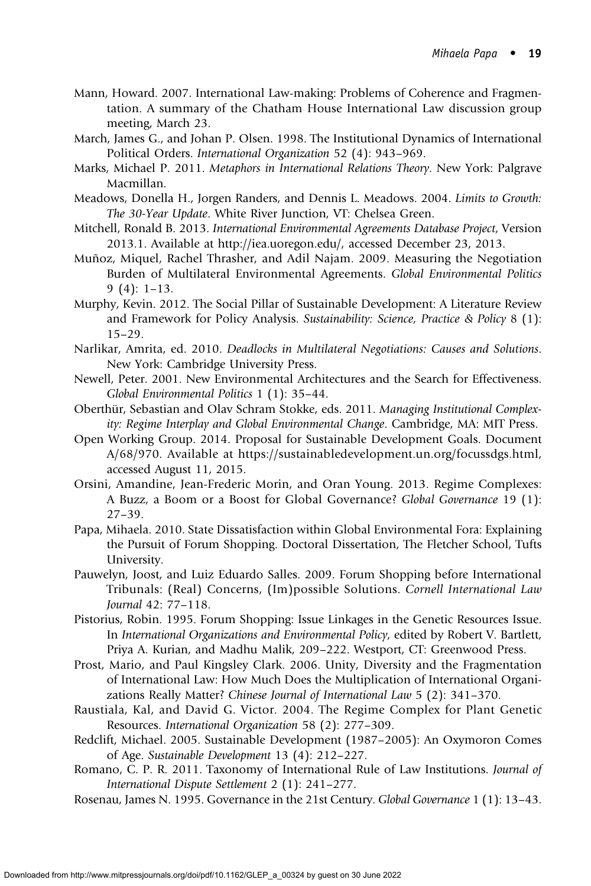- Mann, Howard. 2007. International Law-making: Problems of Coherence and Fragmentation. A summary of the Chatham House International Law discussion group meeting, March 23.
- March, James G., and Johan P. Olsen. 1998. The Institutional Dynamics of International Political Orders. International Organization 52 (4): 943–969.
- Marks, Michael P. 2011. Metaphors in International Relations Theory. New York: Palgrave Macmillan.
- Meadows, Donella H., Jorgen Randers, and Dennis L. Meadows. 2004. Limits to Growth: The 30-Year Update. White River Junction, VT: Chelsea Green.
- Mitchell, Ronald B. 2013. International Environmental Agreements Database Project, Version 2013.1. Available at http://iea.uoregon.edu/, accessed December 23, 2013.
- Muñoz, Miquel, Rachel Thrasher, and Adil Najam. 2009. Measuring the Negotiation Burden of Multilateral Environmental Agreements. Global Environmental Politics 9 (4): 1–13.
- Murphy, Kevin. 2012. The Social Pillar of Sustainable Development: A Literature Review and Framework for Policy Analysis. Sustainability: Science, Practice & Policy 8 (1):  $15-29.$
- Narlikar, Amrita, ed. 2010. Deadlocks in Multilateral Negotiations: Causes and Solutions. New York: Cambridge University Press.
- Newell, Peter. 2001. New Environmental Architectures and the Search for Effectiveness. Global Environmental Politics 1 (1): 35–44.
- Oberthür, Sebastian and Olav Schram Stokke, eds. 2011. Managing Institutional Complexity: Regime Interplay and Global Environmental Change. Cambridge, MA: MIT Press.
- Open Working Group. 2014. Proposal for Sustainable Development Goals. Document A/68/970. Available at https://sustainabledevelopment.un.org/focussdgs.html, accessed August 11, 2015.
- Orsini, Amandine, Jean-Frederic Morin, and Oran Young. 2013. Regime Complexes: A Buzz, a Boom or a Boost for Global Governance? Global Governance 19 (1): 27–39.
- Papa, Mihaela. 2010. State Dissatisfaction within Global Environmental Fora: Explaining the Pursuit of Forum Shopping. Doctoral Dissertation, The Fletcher School, Tufts University.
- Pauwelyn, Joost, and Luiz Eduardo Salles. 2009. Forum Shopping before International Tribunals: (Real) Concerns, (Im)possible Solutions. Cornell International Law Journal 42: 77–118.
- Pistorius, Robin. 1995. Forum Shopping: Issue Linkages in the Genetic Resources Issue. In International Organizations and Environmental Policy, edited by Robert V. Bartlett, Priya A. Kurian, and Madhu Malik, 209–222. Westport, CT: Greenwood Press.
- Prost, Mario, and Paul Kingsley Clark. 2006. Unity, Diversity and the Fragmentation of International Law: How Much Does the Multiplication of International Organizations Really Matter? Chinese Journal of International Law 5 (2): 341–370.
- Raustiala, Kal, and David G. Victor. 2004. The Regime Complex for Plant Genetic Resources. International Organization 58 (2): 277–309.
- Redclift, Michael. 2005. Sustainable Development (1987–2005): An Oxymoron Comes of Age. Sustainable Development 13 (4): 212–227.
- Romano, C. P. R. 2011. Taxonomy of International Rule of Law Institutions. Journal of International Dispute Settlement 2 (1): 241–277.
- Rosenau, James N. 1995. Governance in the 21st Century. Global Governance 1 (1): 13–43.